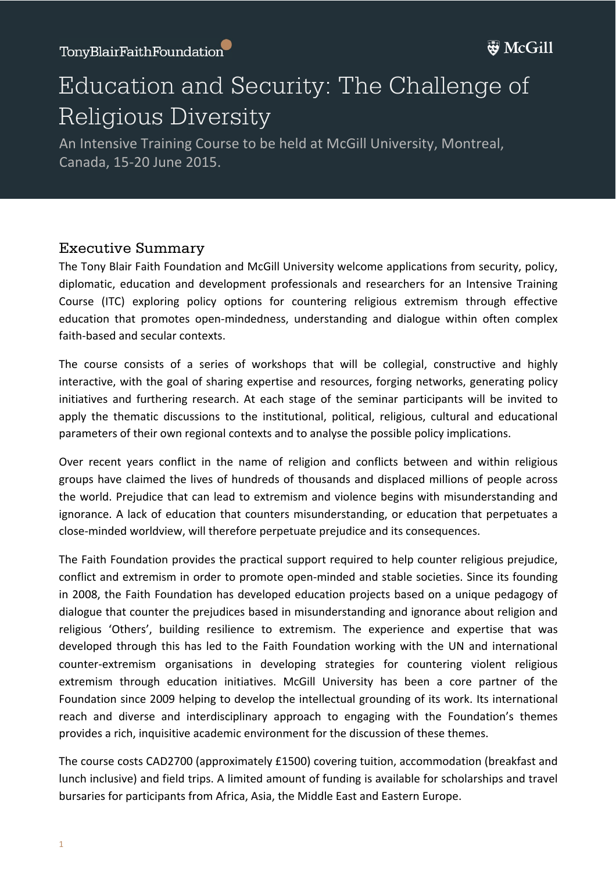Education  $\mathcal{L}$  is a security of  $\mathcal{L}$  . The security  $\mathcal{L}$ 

## Education and Security: The Challenge of Religious Diversity

An Intensive Training Course to be held at McGill University, Montreal, Canada, 15-20 June 2015.

## Executive Summary

The Tony Blair Faith Foundation and McGill University welcome applications from security, policy, diplomatic, education and development professionals and researchers for an Intensive Training Course (ITC) exploring policy options for countering religious extremism through effective education that promotes open-mindedness, understanding and dialogue within often complex faith-based and secular contexts.

The course consists of a series of workshops that will be collegial, constructive and highly interactive, with the goal of sharing expertise and resources, forging networks, generating policy initiatives and furthering research. At each stage of the seminar participants will be invited to apply the thematic discussions to the institutional, political, religious, cultural and educational parameters of their own regional contexts and to analyse the possible policy implications.

Over recent years conflict in the name of religion and conflicts between and within religious groups have claimed the lives of hundreds of thousands and displaced millions of people across the world. Prejudice that can lead to extremism and violence begins with misunderstanding and ignorance. A lack of education that counters misunderstanding, or education that perpetuates a close-minded worldview, will therefore perpetuate prejudice and its consequences.

The Faith Foundation provides the practical support required to help counter religious prejudice, conflict and extremism in order to promote open-minded and stable societies. Since its founding in 2008, the Faith Foundation has developed education projects based on a unique pedagogy of dialogue that counter the prejudices based in misunderstanding and ignorance about religion and religious 'Others', building resilience to extremism. The experience and expertise that was developed through this has led to the Faith Foundation working with the UN and international counter-extremism organisations in developing strategies for countering violent religious extremism through education initiatives. McGill University has been a core partner of the Foundation since 2009 helping to develop the intellectual grounding of its work. Its international reach and diverse and interdisciplinary approach to engaging with the Foundation's themes provides a rich, inquisitive academic environment for the discussion of these themes.

The course costs CAD2700 (approximately  $£1500$ ) covering tuition, accommodation (breakfast and lunch inclusive) and field trips. A limited amount of funding is available for scholarships and travel bursaries for participants from Africa, Asia, the Middle East and Eastern Europe.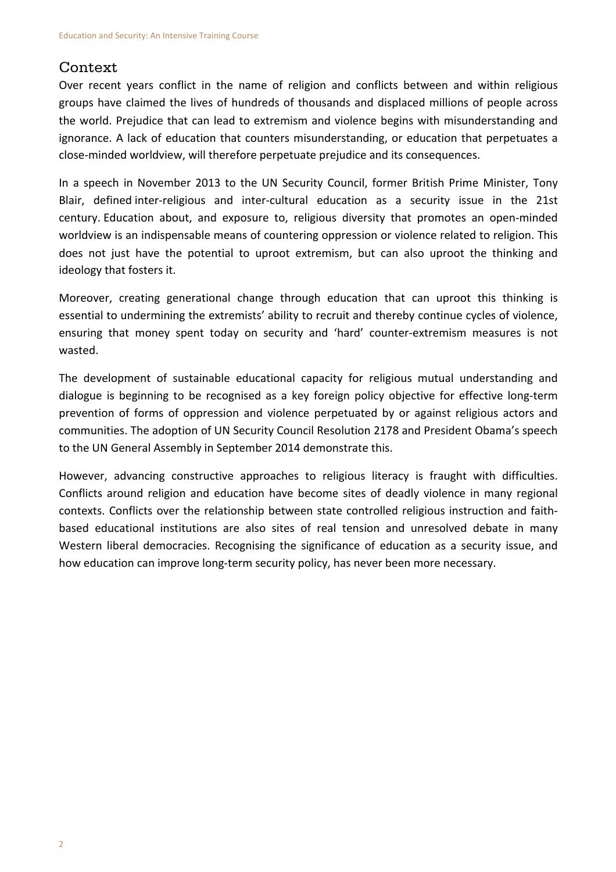## Context

Over recent vears conflict in the name of religion and conflicts between and within religious groups have claimed the lives of hundreds of thousands and displaced millions of people across the world. Prejudice that can lead to extremism and violence begins with misunderstanding and ignorance. A lack of education that counters misunderstanding, or education that perpetuates a close-minded worldview, will therefore perpetuate prejudice and its consequences.

In a speech in November 2013 to the UN Security Council, former British Prime Minister, Tony Blair, defined inter-religious and inter-cultural education as a security issue in the 21st century. Education about, and exposure to, religious diversity that promotes an open-minded worldview is an indispensable means of countering oppression or violence related to religion. This does not just have the potential to uproot extremism, but can also uproot the thinking and ideology that fosters it.

Moreover, creating generational change through education that can uproot this thinking is essential to undermining the extremists' ability to recruit and thereby continue cycles of violence, ensuring that money spent today on security and 'hard' counter-extremism measures is not wasted.

The development of sustainable educational capacity for religious mutual understanding and dialogue is beginning to be recognised as a key foreign policy objective for effective long-term prevention of forms of oppression and violence perpetuated by or against religious actors and communities. The adoption of UN Security Council Resolution 2178 and President Obama's speech to the UN General Assembly in September 2014 demonstrate this.

However, advancing constructive approaches to religious literacy is fraught with difficulties. Conflicts around religion and education have become sites of deadly violence in many regional contexts. Conflicts over the relationship between state controlled religious instruction and faithbased educational institutions are also sites of real tension and unresolved debate in many Western liberal democracies. Recognising the significance of education as a security issue, and how education can improve long-term security policy, has never been more necessary.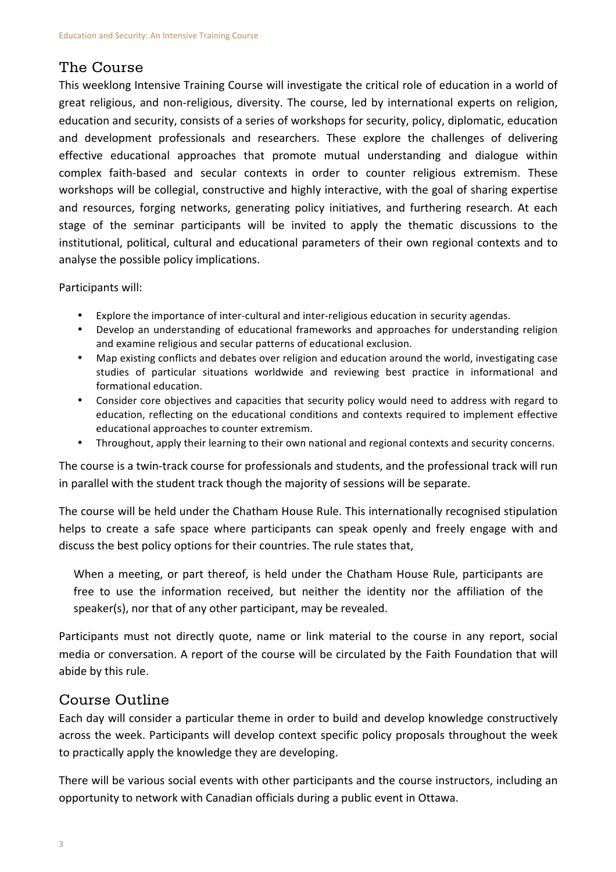## The Course

This weeklong Intensive Training Course will investigate the critical role of education in a world of great religious, and non-religious, diversity. The course, led by international experts on religion, education and security, consists of a series of workshops for security, policy, diplomatic, education and development professionals and researchers. These explore the challenges of delivering effective educational approaches that promote mutual understanding and dialogue within complex faith-based and secular contexts in order to counter religious extremism. These workshops will be collegial, constructive and highly interactive, with the goal of sharing expertise and resources, forging networks, generating policy initiatives, and furthering research. At each stage of the seminar participants will be invited to apply the thematic discussions to the institutional, political, cultural and educational parameters of their own regional contexts and to analyse the possible policy implications.

Participants will:

- Explore the importance of inter-cultural and inter-religious education in security agendas.
- Develop an understanding of educational frameworks and approaches for understanding religion and examine religious and secular patterns of educational exclusion.
- Map existing conflicts and debates over religion and education around the world, investigating case studies of particular situations worldwide and reviewing best practice in informational and formational education.
- Consider core objectives and capacities that security policy would need to address with regard to education, reflecting on the educational conditions and contexts required to implement effective educational approaches to counter extremism.
- Throughout, apply their learning to their own national and regional contexts and security concerns.

The course is a twin-track course for professionals and students, and the professional track will run in parallel with the student track though the majority of sessions will be separate.

The course will be held under the Chatham House Rule. This internationally recognised stipulation helps to create a safe space where participants can speak openly and freely engage with and discuss the best policy options for their countries. The rule states that,

When a meeting, or part thereof, is held under the Chatham House Rule, participants are free to use the information received, but neither the identity nor the affiliation of the speaker(s), nor that of any other participant, may be revealed.

Participants must not directly quote, name or link material to the course in any report, social media or conversation. A report of the course will be circulated by the Faith Foundation that will abide by this rule.

## Course Outline

Each day will consider a particular theme in order to build and develop knowledge constructively across the week. Participants will develop context specific policy proposals throughout the week to practically apply the knowledge they are developing.

There will be various social events with other participants and the course instructors, including an opportunity to network with Canadian officials during a public event in Ottawa.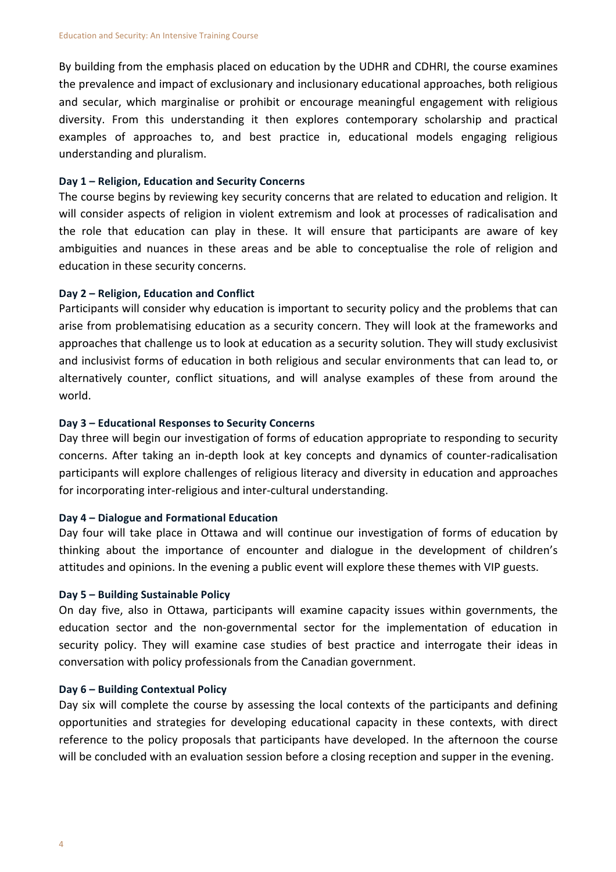By building from the emphasis placed on education by the UDHR and CDHRI, the course examines the prevalence and impact of exclusionary and inclusionary educational approaches, both religious and secular, which marginalise or prohibit or encourage meaningful engagement with religious diversity. From this understanding it then explores contemporary scholarship and practical examples of approaches to, and best practice in, educational models engaging religious understanding and pluralism.

#### **Day 1 – Religion, Education and Security Concerns**

The course begins by reviewing key security concerns that are related to education and religion. It will consider aspects of religion in violent extremism and look at processes of radicalisation and the role that education can play in these. It will ensure that participants are aware of key ambiguities and nuances in these areas and be able to conceptualise the role of religion and education in these security concerns.

#### Day 2 – Religion, Education and Conflict

Participants will consider why education is important to security policy and the problems that can arise from problematising education as a security concern. They will look at the frameworks and approaches that challenge us to look at education as a security solution. They will study exclusivist and inclusivist forms of education in both religious and secular environments that can lead to, or alternatively counter, conflict situations, and will analyse examples of these from around the world.

#### Day 3 – Educational Responses to Security Concerns

Day three will begin our investigation of forms of education appropriate to responding to security concerns. After taking an in-depth look at key concepts and dynamics of counter-radicalisation participants will explore challenges of religious literacy and diversity in education and approaches for incorporating inter-religious and inter-cultural understanding.

#### **Day 4 – Dialogue and Formational Education**

Day four will take place in Ottawa and will continue our investigation of forms of education by thinking about the importance of encounter and dialogue in the development of children's attitudes and opinions. In the evening a public event will explore these themes with VIP guests.

#### **Day 5 – Building Sustainable Policy**

On day five, also in Ottawa, participants will examine capacity issues within governments, the education sector and the non-governmental sector for the implementation of education in security policy. They will examine case studies of best practice and interrogate their ideas in conversation with policy professionals from the Canadian government.

#### **Day 6 – Building Contextual Policy**

Day six will complete the course by assessing the local contexts of the participants and defining opportunities and strategies for developing educational capacity in these contexts, with direct reference to the policy proposals that participants have developed. In the afternoon the course will be concluded with an evaluation session before a closing reception and supper in the evening.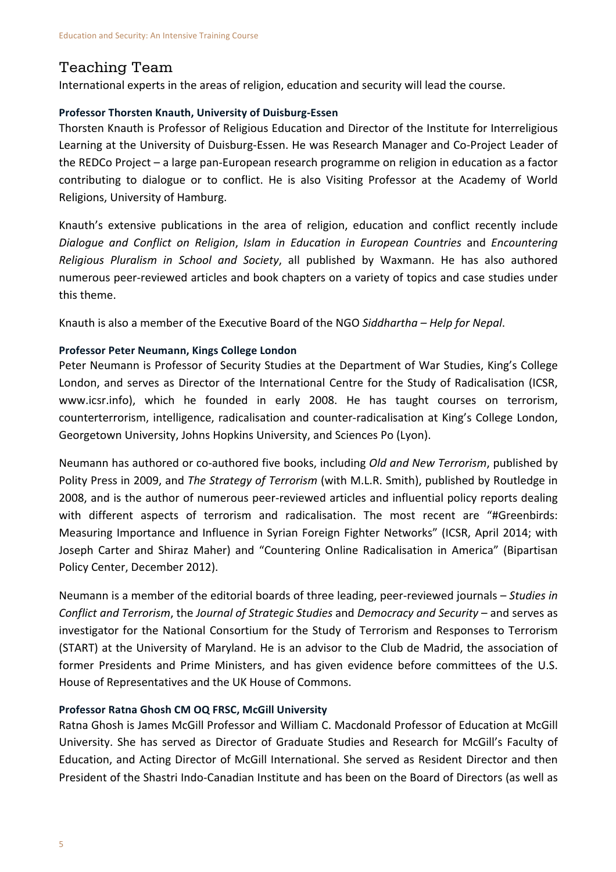## Teaching Team

International experts in the areas of religion, education and security will lead the course.

#### **Professor Thorsten Knauth, University of Duisburg-Essen**

Thorsten Knauth is Professor of Religious Education and Director of the Institute for Interreligious Learning at the University of Duisburg-Essen. He was Research Manager and Co-Project Leader of the REDCo Project  $-$  a large pan-European research programme on religion in education as a factor contributing to dialogue or to conflict. He is also Visiting Professor at the Academy of World Religions, University of Hamburg.

Knauth's extensive publications in the area of religion, education and conflict recently include *Dialoque and Conflict on Religion, Islam in Education in European Countries* and *Encountering Religious Pluralism in School and Society*, all published by Waxmann. He has also authored numerous peer-reviewed articles and book chapters on a variety of topics and case studies under this theme.

Knauth is also a member of the Executive Board of the NGO Siddhartha – Help for Nepal.

### **Professor Peter Neumann, Kings College London**

Peter Neumann is Professor of Security Studies at the Department of War Studies, King's College London, and serves as Director of the International Centre for the Study of Radicalisation (ICSR, www.icsr.info), which he founded in early 2008. He has taught courses on terrorism, counterterrorism, intelligence, radicalisation and counter-radicalisation at King's College London, Georgetown University, Johns Hopkins University, and Sciences Po (Lyon).

Neumann has authored or co-authored five books, including *Old and New Terrorism*, published by Polity Press in 2009, and *The Strategy of Terrorism* (with M.L.R. Smith), published by Routledge in 2008, and is the author of numerous peer-reviewed articles and influential policy reports dealing with different aspects of terrorism and radicalisation. The most recent are "#Greenbirds: Measuring Importance and Influence in Syrian Foreign Fighter Networks" (ICSR, April 2014; with Joseph Carter and Shiraz Maher) and "Countering Online Radicalisation in America" (Bipartisan Policy Center, December 2012).

Neumann is a member of the editorial boards of three leading, peer-reviewed journals – *Studies in Conflict and Terrorism, the Journal of Strategic Studies* and *Democracy and Security* – and serves as investigator for the National Consortium for the Study of Terrorism and Responses to Terrorism (START) at the University of Maryland. He is an advisor to the Club de Madrid, the association of former Presidents and Prime Ministers, and has given evidence before committees of the U.S. House of Representatives and the UK House of Commons.

#### **Professor Ratna Ghosh CM OQ FRSC, McGill University**

Ratna Ghosh is James McGill Professor and William C. Macdonald Professor of Education at McGill University. She has served as Director of Graduate Studies and Research for McGill's Faculty of Education, and Acting Director of McGill International. She served as Resident Director and then President of the Shastri Indo-Canadian Institute and has been on the Board of Directors (as well as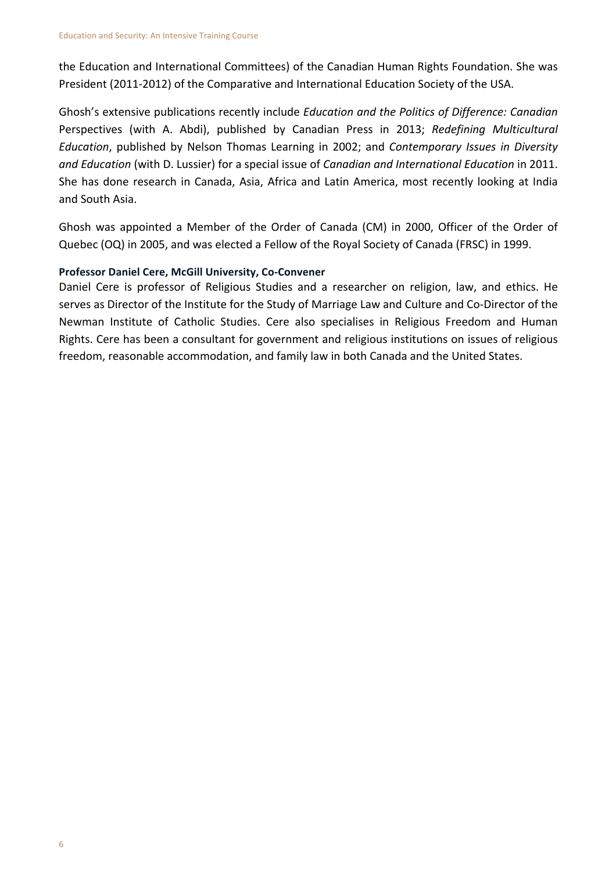the Education and International Committees) of the Canadian Human Rights Foundation. She was President (2011-2012) of the Comparative and International Education Society of the USA.

Ghosh's extensive publications recently include *Education and the Politics of Difference: Canadian* Perspectives (with A. Abdi), published by Canadian Press in 2013; *Redefining Multicultural Education*, published by Nelson Thomas Learning in 2002; and *Contemporary Issues in Diversity and Education* (with D. Lussier) for a special issue of *Canadian and International Education* in 2011. She has done research in Canada, Asia, Africa and Latin America, most recently looking at India and South Asia.

Ghosh was appointed a Member of the Order of Canada (CM) in 2000, Officer of the Order of Quebec (OQ) in 2005, and was elected a Fellow of the Royal Society of Canada (FRSC) in 1999.

## **Professor Daniel Cere, McGill University, Co-Convener**

Daniel Cere is professor of Religious Studies and a researcher on religion, law, and ethics. He serves as Director of the Institute for the Study of Marriage Law and Culture and Co-Director of the Newman Institute of Catholic Studies. Cere also specialises in Religious Freedom and Human Rights. Cere has been a consultant for government and religious institutions on issues of religious freedom, reasonable accommodation, and family law in both Canada and the United States.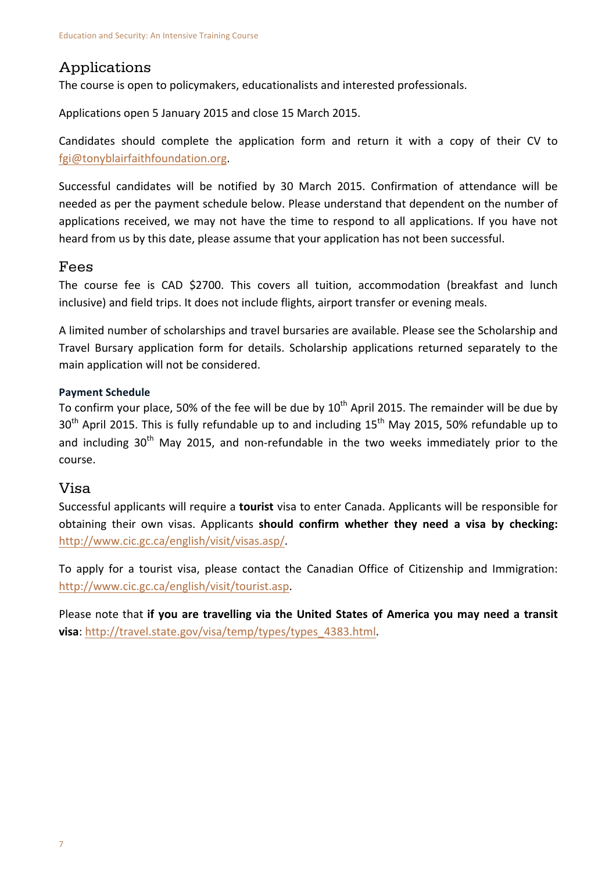## Applications

The course is open to policymakers, educationalists and interested professionals.

Applications open 5 January 2015 and close 15 March 2015.

Candidates should complete the application form and return it with a copy of their CV to fgi@tonyblairfaithfoundation.org.

Successful candidates will be notified by 30 March 2015. Confirmation of attendance will be needed as per the payment schedule below. Please understand that dependent on the number of applications received, we may not have the time to respond to all applications. If you have not heard from us by this date, please assume that your application has not been successful.

## Fees

The course fee is CAD \$2700. This covers all tuition, accommodation (breakfast and lunch inclusive) and field trips. It does not include flights, airport transfer or evening meals.

A limited number of scholarships and travel bursaries are available. Please see the Scholarship and Travel Bursary application form for details. Scholarship applications returned separately to the main application will not be considered.

## **Payment Schedule**

To confirm your place, 50% of the fee will be due by  $10^{th}$  April 2015. The remainder will be due by  $30<sup>th</sup>$  April 2015. This is fully refundable up to and including  $15<sup>th</sup>$  May 2015, 50% refundable up to and including 30<sup>th</sup> May 2015, and non-refundable in the two weeks immediately prior to the course.

## Visa

Successful applicants will require a **tourist** visa to enter Canada. Applicants will be responsible for obtaining their own visas. Applicants **should confirm whether they need a visa by checking:** http://www.cic.gc.ca/english/visit/visas.asp/.

To apply for a tourist visa, please contact the Canadian Office of Citizenship and Immigration: http://www.cic.gc.ca/english/visit/tourist.asp. 

Please note that if you are travelling via the United States of America you may need a transit **visa**: http://travel.state.gov/visa/temp/types/types\_4383.html.